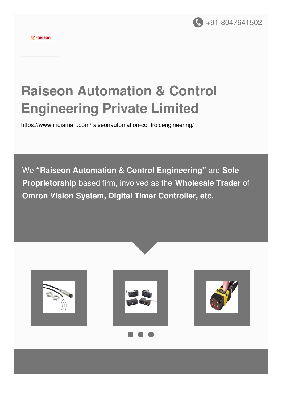

# **Raiseon Automation & Control Engineering Private Limited**

<https://www.indiamart.com/raiseonautomation-controlcengineering/>

We **"Raiseon Automation & Control Engineering"** are **Sole Proprietorship** based firm, involved as the **Wholesale Trader** of **Omron Vision System, Digital Timer Controller, etc.**

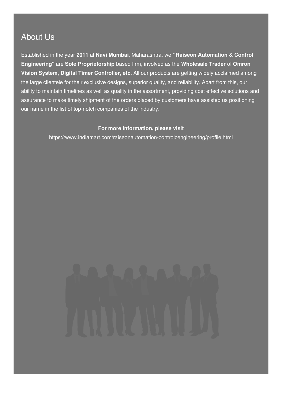#### About Us

Established in the year **2011** at **Navi Mumbai**, Maharashtra, we **"Raiseon Automation & Control Engineering"** are **Sole Proprietorship** based firm, involved as the **Wholesale Trader** of **Omron Vision System, Digital Timer Controller, etc.** All our products are getting widely acclaimed among the large clientele for their exclusive designs, superior quality, and reliability. Apart from this, our ability to maintain timelines as well as quality in the assortment, providing cost effective solutions and assurance to make timely shipment of the orders placed by customers have assisted us positioning our name in the list of top-notch companies of the industry.

#### **For more information, please visit**

<https://www.indiamart.com/raiseonautomation-controlcengineering/profile.html>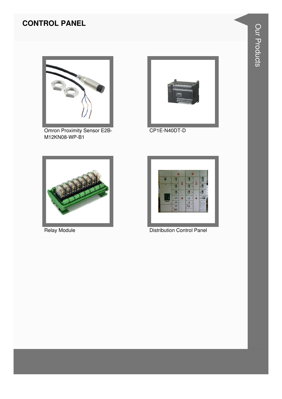#### **CONTROL PANEL**



Omron Proximity Sensor E2B-M12KN08-WP-B1



CP1E-N40DT-D



**Relay Module** 



**Distribution Control Panel**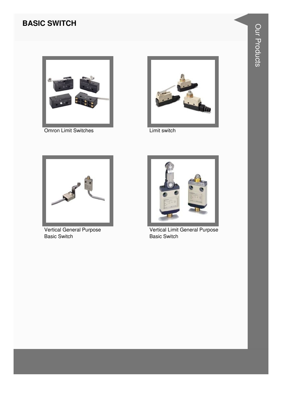#### **BASIC SWITCH**



**Omron Limit Switches** 



Limit switch



Vertical General Purpose **Basic Switch** 



Vertical Limit General Purpose **Basic Switch**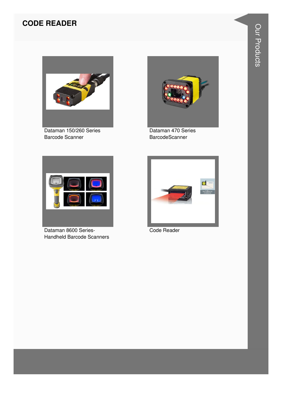#### **CODE READER**



Dataman 150/260 Series Barcode Scanner



Dataman 470 Series **BarcodeScanner** 



Dataman 8600 Series-Handheld Barcode Scanners



Code Reader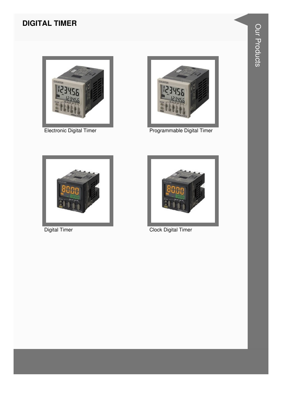#### **DIGITAL TIMER**



Electronic Digital Timer



Programmable Digital Timer



**Digital Timer** 



**Clock Digital Timer**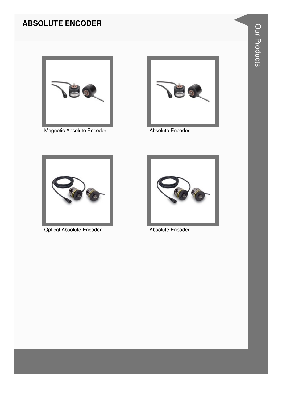#### **ABSOLUTE ENCODER**



Magnetic Absolute Encoder **Absolute Encoder** 





Optical Absolute Encoder **Absolute Encoder** Absolute Encoder

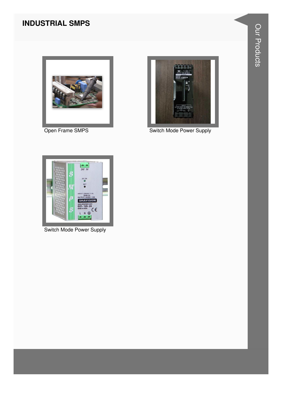#### **INDUSTRIAL SMPS**



Open Frame SMPS



**Switch Mode Power Supply** 



**Switch Mode Power Supply**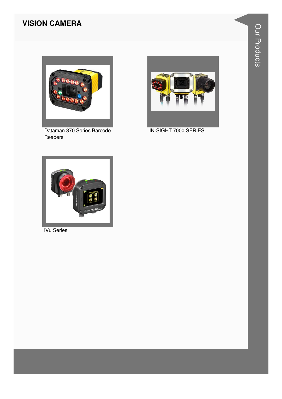#### **VISION CAMERA**



Dataman 370 Series Barcode Readers



IN-SIGHT 7000 SERIES



**iVu Series**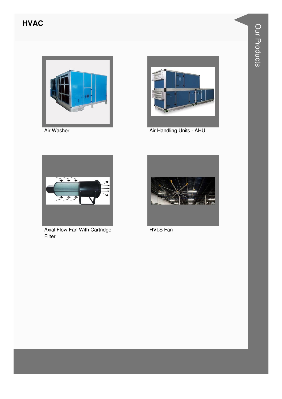#### **HVAC**



Air Washer



Air Handling Units - AHU



Axial Flow Fan With Cartridge Filter



**HVLS Fan**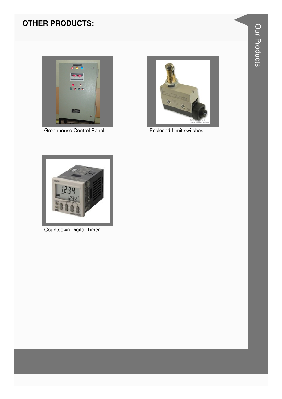#### **OTHER PRODUCTS:**



**Greenhouse Control Panel** 



**Enclosed Limit switches** 



Countdown Digital Timer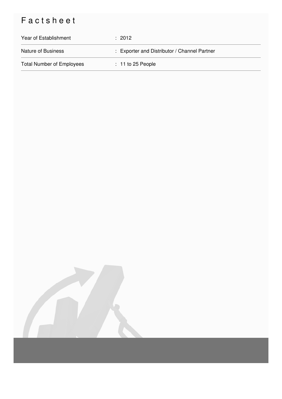## Factsheet

| Year of Establishment            | : 2012                                       |
|----------------------------------|----------------------------------------------|
| Nature of Business               | : Exporter and Distributor / Channel Partner |
| <b>Total Number of Employees</b> | $: 11$ to 25 People                          |